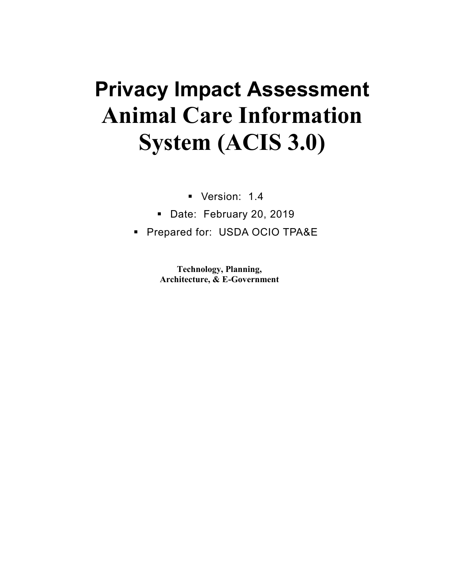# **Privacy Impact Assessment Animal Care Information System (ACIS 3.0)**

- Version: 1.4
- Date: February 20, 2019
- **Prepared for: USDA OCIO TPA&E**

**Technology, Planning, Architecture, & E-Government**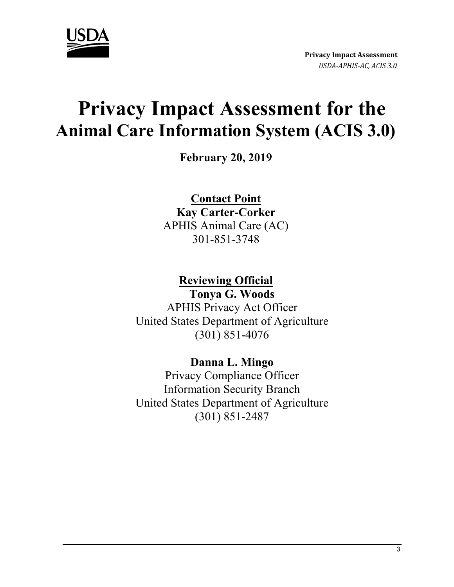

# **Privacy Impact Assessment for the Animal Care Information System (ACIS 3.0)**

**February 20, 2019**

**Contact Point Kay Carter-Corker**  APHIS Animal Care (AC)

301-851-3748

**Reviewing Official** 

**Tonya G. Woods**  APHIS Privacy Act Officer United States Department of Agriculture (301) 851-4076

**Danna L. Mingo**  Privacy Compliance Officer Information Security Branch United States Department of Agriculture (301) 851-2487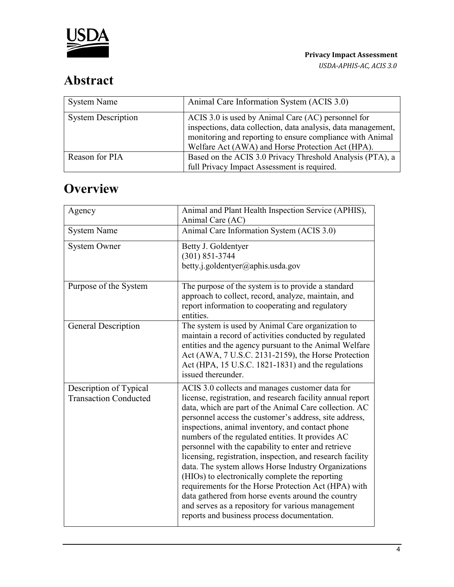

# **Abstract**

| <b>System Name</b>        | Animal Care Information System (ACIS 3.0)                                                                                                                                                                                             |
|---------------------------|---------------------------------------------------------------------------------------------------------------------------------------------------------------------------------------------------------------------------------------|
| <b>System Description</b> | ACIS 3.0 is used by Animal Care (AC) personnel for<br>inspections, data collection, data analysis, data management,<br>monitoring and reporting to ensure compliance with Animal<br>Welfare Act (AWA) and Horse Protection Act (HPA). |
| Reason for PIA            | Based on the ACIS 3.0 Privacy Threshold Analysis (PTA), a<br>full Privacy Impact Assessment is required.                                                                                                                              |

# **Overview**

| Agency                                                 | Animal and Plant Health Inspection Service (APHIS),<br>Animal Care (AC)                                                                                                                                                                                                                                                                                                                                                                                                                                                                                                                                                                                                                                                                                                                      |
|--------------------------------------------------------|----------------------------------------------------------------------------------------------------------------------------------------------------------------------------------------------------------------------------------------------------------------------------------------------------------------------------------------------------------------------------------------------------------------------------------------------------------------------------------------------------------------------------------------------------------------------------------------------------------------------------------------------------------------------------------------------------------------------------------------------------------------------------------------------|
| <b>System Name</b>                                     | Animal Care Information System (ACIS 3.0)                                                                                                                                                                                                                                                                                                                                                                                                                                                                                                                                                                                                                                                                                                                                                    |
| <b>System Owner</b>                                    | Betty J. Goldentyer<br>$(301) 851 - 3744$<br>betty.j.goldentyer@aphis.usda.gov                                                                                                                                                                                                                                                                                                                                                                                                                                                                                                                                                                                                                                                                                                               |
| Purpose of the System                                  | The purpose of the system is to provide a standard<br>approach to collect, record, analyze, maintain, and<br>report information to cooperating and regulatory<br>entities.                                                                                                                                                                                                                                                                                                                                                                                                                                                                                                                                                                                                                   |
| General Description                                    | The system is used by Animal Care organization to<br>maintain a record of activities conducted by regulated<br>entities and the agency pursuant to the Animal Welfare<br>Act (AWA, 7 U.S.C. 2131-2159), the Horse Protection<br>Act (HPA, 15 U.S.C. 1821-1831) and the regulations<br>issued thereunder.                                                                                                                                                                                                                                                                                                                                                                                                                                                                                     |
| Description of Typical<br><b>Transaction Conducted</b> | ACIS 3.0 collects and manages customer data for<br>license, registration, and research facility annual report<br>data, which are part of the Animal Care collection. AC<br>personnel access the customer's address, site address,<br>inspections, animal inventory, and contact phone<br>numbers of the regulated entities. It provides AC<br>personnel with the capability to enter and retrieve<br>licensing, registration, inspection, and research facility<br>data. The system allows Horse Industry Organizations<br>(HIOs) to electronically complete the reporting<br>requirements for the Horse Protection Act (HPA) with<br>data gathered from horse events around the country<br>and serves as a repository for various management<br>reports and business process documentation. |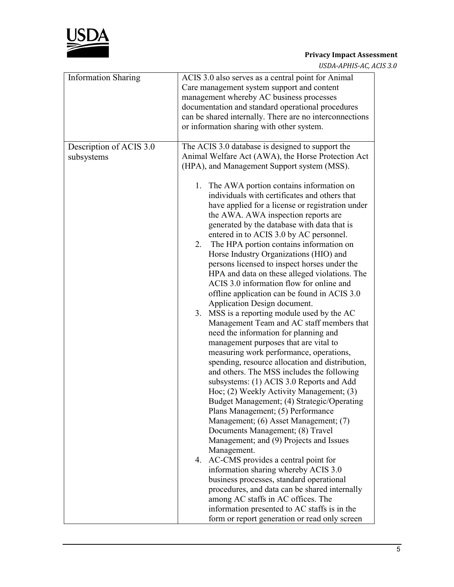

*USDA-APHIS-AC, ACIS 3.0*

| <b>Information Sharing</b>            | ACIS 3.0 also serves as a central point for Animal<br>Care management system support and content<br>management whereby AC business processes<br>documentation and standard operational procedures<br>can be shared internally. There are no interconnections<br>or information sharing with other system.                                                                                                                                                                                                                                                                                                                                                                                                                                                                                                                                                                                                                                                                                                                                                                                                                                                                                                                                                                                                                                                                                                                                                                                                                                                                                                                                                                                                                        |
|---------------------------------------|----------------------------------------------------------------------------------------------------------------------------------------------------------------------------------------------------------------------------------------------------------------------------------------------------------------------------------------------------------------------------------------------------------------------------------------------------------------------------------------------------------------------------------------------------------------------------------------------------------------------------------------------------------------------------------------------------------------------------------------------------------------------------------------------------------------------------------------------------------------------------------------------------------------------------------------------------------------------------------------------------------------------------------------------------------------------------------------------------------------------------------------------------------------------------------------------------------------------------------------------------------------------------------------------------------------------------------------------------------------------------------------------------------------------------------------------------------------------------------------------------------------------------------------------------------------------------------------------------------------------------------------------------------------------------------------------------------------------------------|
| Description of ACIS 3.0<br>subsystems | The ACIS 3.0 database is designed to support the<br>Animal Welfare Act (AWA), the Horse Protection Act<br>(HPA), and Management Support system (MSS).<br>1. The AWA portion contains information on<br>individuals with certificates and others that<br>have applied for a license or registration under<br>the AWA. AWA inspection reports are<br>generated by the database with data that is<br>entered in to ACIS 3.0 by AC personnel.<br>2. The HPA portion contains information on<br>Horse Industry Organizations (HIO) and<br>persons licensed to inspect horses under the<br>HPA and data on these alleged violations. The<br>ACIS 3.0 information flow for online and<br>offline application can be found in ACIS 3.0<br>Application Design document.<br>3. MSS is a reporting module used by the AC<br>Management Team and AC staff members that<br>need the information for planning and<br>management purposes that are vital to<br>measuring work performance, operations,<br>spending, resource allocation and distribution,<br>and others. The MSS includes the following<br>subsystems: (1) ACIS 3.0 Reports and Add<br>Hoc; (2) Weekly Activity Management; (3)<br>Budget Management; (4) Strategic/Operating<br>Plans Management; (5) Performance<br>Management; (6) Asset Management; (7)<br>Documents Management; (8) Travel<br>Management; and (9) Projects and Issues<br>Management.<br>4. AC-CMS provides a central point for<br>information sharing whereby ACIS 3.0<br>business processes, standard operational<br>procedures, and data can be shared internally<br>among AC staffs in AC offices. The<br>information presented to AC staffs is in the<br>form or report generation or read only screen |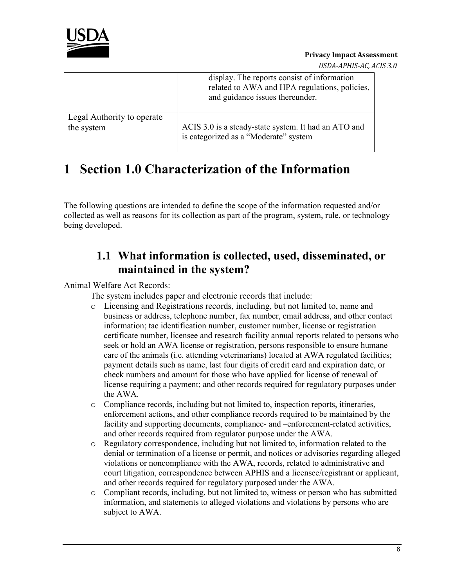

*USDA-APHIS-AC, ACIS 3.0*

|                            | display. The reports consist of information<br>related to AWA and HPA regulations, policies,<br>and guidance issues thereunder. |
|----------------------------|---------------------------------------------------------------------------------------------------------------------------------|
| Legal Authority to operate | ACIS 3.0 is a steady-state system. It had an ATO and                                                                            |
| the system                 | is categorized as a "Moderate" system                                                                                           |

# **1 Section 1.0 Characterization of the Information**

The following questions are intended to define the scope of the information requested and/or collected as well as reasons for its collection as part of the program, system, rule, or technology being developed.

#### **1.1 What information is collected, used, disseminated, or maintained in the system?**

#### Animal Welfare Act Records:

The system includes paper and electronic records that include:

- o Licensing and Registrations records, including, but not limited to, name and business or address, telephone number, fax number, email address, and other contact information; tac identification number, customer number, license or registration certificate number, licensee and research facility annual reports related to persons who seek or hold an AWA license or registration, persons responsible to ensure humane care of the animals (i.e. attending veterinarians) located at AWA regulated facilities; payment details such as name, last four digits of credit card and expiration date, or check numbers and amount for those who have applied for license of renewal of license requiring a payment; and other records required for regulatory purposes under the AWA.
- o Compliance records, including but not limited to, inspection reports, itineraries, enforcement actions, and other compliance records required to be maintained by the facility and supporting documents, compliance- and –enforcement-related activities, and other records required from regulator purpose under the AWA.
- o Regulatory correspondence, including but not limited to, information related to the denial or termination of a license or permit, and notices or advisories regarding alleged violations or noncompliance with the AWA, records, related to administrative and court litigation, correspondence between APHIS and a licensee/registrant or applicant, and other records required for regulatory purposed under the AWA.
- o Compliant records, including, but not limited to, witness or person who has submitted information, and statements to alleged violations and violations by persons who are subject to AWA.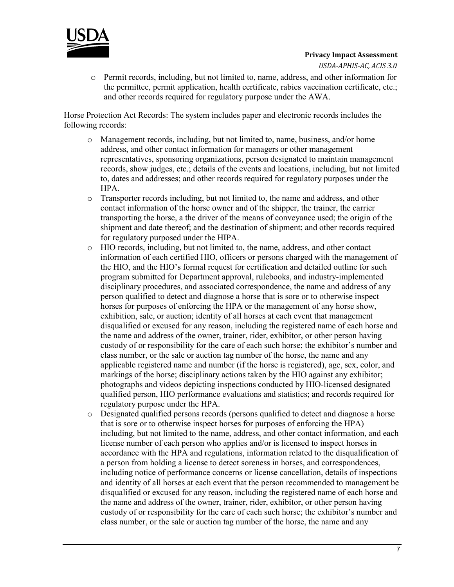

*USDA-APHIS-AC, ACIS 3.0*

o Permit records, including, but not limited to, name, address, and other information for the permittee, permit application, health certificate, rabies vaccination certificate, etc.; and other records required for regulatory purpose under the AWA.

Horse Protection Act Records: The system includes paper and electronic records includes the following records:

- o Management records, including, but not limited to, name, business, and/or home address, and other contact information for managers or other management representatives, sponsoring organizations, person designated to maintain management records, show judges, etc.; details of the events and locations, including, but not limited to, dates and addresses; and other records required for regulatory purposes under the HPA.
- o Transporter records including, but not limited to, the name and address, and other contact information of the horse owner and of the shipper, the trainer, the carrier transporting the horse, a the driver of the means of conveyance used; the origin of the shipment and date thereof; and the destination of shipment; and other records required for regulatory purposed under the HIPA.
- o HIO records, including, but not limited to, the name, address, and other contact information of each certified HIO, officers or persons charged with the management of the HIO, and the HIO's formal request for certification and detailed outline for such program submitted for Department approval, rulebooks, and industry-implemented disciplinary procedures, and associated correspondence, the name and address of any person qualified to detect and diagnose a horse that is sore or to otherwise inspect horses for purposes of enforcing the HPA or the management of any horse show, exhibition, sale, or auction; identity of all horses at each event that management disqualified or excused for any reason, including the registered name of each horse and the name and address of the owner, trainer, rider, exhibitor, or other person having custody of or responsibility for the care of each such horse; the exhibitor's number and class number, or the sale or auction tag number of the horse, the name and any applicable registered name and number (if the horse is registered), age, sex, color, and markings of the horse; disciplinary actions taken by the HIO against any exhibitor; photographs and videos depicting inspections conducted by HIO-licensed designated qualified person, HIO performance evaluations and statistics; and records required for regulatory purpose under the HPA.
- o Designated qualified persons records (persons qualified to detect and diagnose a horse that is sore or to otherwise inspect horses for purposes of enforcing the HPA) including, but not limited to the name, address, and other contact information, and each license number of each person who applies and/or is licensed to inspect horses in accordance with the HPA and regulations, information related to the disqualification of a person from holding a license to detect soreness in horses, and correspondences, including notice of performance concerns or license cancellation, details of inspections and identity of all horses at each event that the person recommended to management be disqualified or excused for any reason, including the registered name of each horse and the name and address of the owner, trainer, rider, exhibitor, or other person having custody of or responsibility for the care of each such horse; the exhibitor's number and class number, or the sale or auction tag number of the horse, the name and any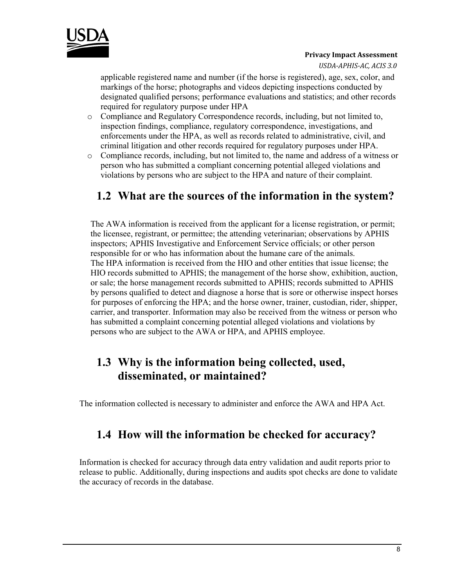

*USDA-APHIS-AC, ACIS 3.0*

applicable registered name and number (if the horse is registered), age, sex, color, and markings of the horse; photographs and videos depicting inspections conducted by designated qualified persons; performance evaluations and statistics; and other records required for regulatory purpose under HPA

- o Compliance and Regulatory Correspondence records, including, but not limited to, inspection findings, compliance, regulatory correspondence, investigations, and enforcements under the HPA, as well as records related to administrative, civil, and criminal litigation and other records required for regulatory purposes under HPA.
- $\circ$  Compliance records, including, but not limited to, the name and address of a witness or person who has submitted a compliant concerning potential alleged violations and violations by persons who are subject to the HPA and nature of their complaint.

### **1.2 What are the sources of the information in the system?**

The AWA information is received from the applicant for a license registration, or permit; the licensee, registrant, or permittee; the attending veterinarian; observations by APHIS inspectors; APHIS Investigative and Enforcement Service officials; or other person responsible for or who has information about the humane care of the animals. The HPA information is received from the HIO and other entities that issue license; the HIO records submitted to APHIS; the management of the horse show, exhibition, auction, or sale; the horse management records submitted to APHIS; records submitted to APHIS by persons qualified to detect and diagnose a horse that is sore or otherwise inspect horses for purposes of enforcing the HPA; and the horse owner, trainer, custodian, rider, shipper, carrier, and transporter. Information may also be received from the witness or person who has submitted a complaint concerning potential alleged violations and violations by persons who are subject to the AWA or HPA, and APHIS employee.

### **1.3 Why is the information being collected, used, disseminated, or maintained?**

The information collected is necessary to administer and enforce the AWA and HPA Act.

#### **1.4 How will the information be checked for accuracy?**

Information is checked for accuracy through data entry validation and audit reports prior to release to public. Additionally, during inspections and audits spot checks are done to validate the accuracy of records in the database.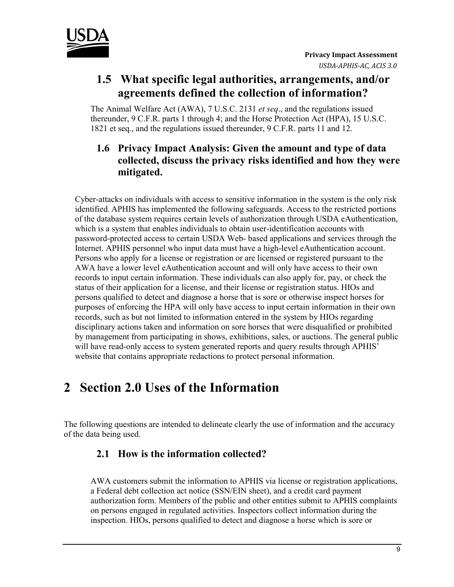

#### **1.5 What specific legal authorities, arrangements, and/or agreements defined the collection of information?**

The Animal Welfare Act (AWA), 7 U.S.C. 2131 *et seq*., and the regulations issued thereunder, 9 C.F.R. parts 1 through 4; and the Horse Protection Act (HPA), 15 U.S.C. 1821 et seq., and the regulations issued thereunder, 9 C.F.R. parts 11 and 12.

#### **1.6 Privacy Impact Analysis: Given the amount and type of data collected, discuss the privacy risks identified and how they were mitigated.**

Cyber-attacks on individuals with access to sensitive information in the system is the only risk identified. APHIS has implemented the following safeguards. Access to the restricted portions of the database system requires certain levels of authorization through USDA eAuthentication, which is a system that enables individuals to obtain user-identification accounts with password-protected access to certain USDA Web- based applications and services through the Internet. APHIS personnel who input data must have a high-level eAuthentication account. Persons who apply for a license or registration or are licensed or registered pursuant to the AWA have a lower level eAuthentication account and will only have access to their own records to input certain information. These individuals can also apply for, pay, or check the status of their application for a license, and their license or registration status. HIOs and persons qualified to detect and diagnose a horse that is sore or otherwise inspect horses for purposes of enforcing the HPA will only have access to input certain information in their own records, such as but not limited to information entered in the system by HIOs regarding disciplinary actions taken and information on sore horses that were disqualified or prohibited by management from participating in shows, exhibitions, sales, or auctions. The general public will have read-only access to system generated reports and query results through APHIS' website that contains appropriate redactions to protect personal information.

# **2 Section 2.0 Uses of the Information**

The following questions are intended to delineate clearly the use of information and the accuracy of the data being used.

#### **2.1 How is the information collected?**

AWA customers submit the information to APHIS via license or registration applications, a Federal debt collection act notice (SSN/EIN sheet), and a credit card payment authorization form. Members of the public and other entities submit to APHIS complaints on persons engaged in regulated activities. Inspectors collect information during the inspection. HIOs, persons qualified to detect and diagnose a horse which is sore or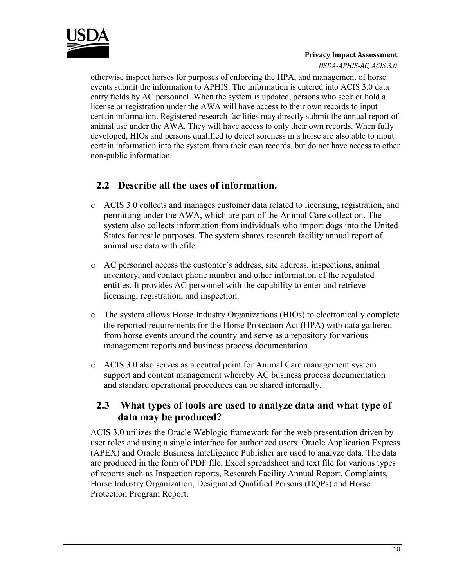

*USDA-APHIS-AC, ACIS 3.0*

otherwise inspect horses for purposes of enforcing the HPA, and management of horse events submit the information to APHIS. The information is entered into ACIS 3.0 data entry fields by AC personnel. When the system is updated, persons who seek or hold a license or registration under the AWA will have access to their own records to input certain information. Registered research facilities may directly submit the annual report of animal use under the AWA. They will have access to only their own records. When fully developed, HIOs and persons qualified to detect soreness in a horse are also able to input certain information into the system from their own records, but do not have access to other non-public information.

#### **2.2 Describe all the uses of information.**

- o ACIS 3.0 collects and manages customer data related to licensing, registration, and permitting under the AWA, which are part of the Animal Care collection. The system also collects information from individuals who import dogs into the United States for resale purposes. The system shares research facility annual report of animal use data with efile.
- o AC personnel access the customer's address, site address, inspections, animal inventory, and contact phone number and other information of the regulated entities. It provides AC personnel with the capability to enter and retrieve licensing, registration, and inspection.
- o The system allows Horse Industry Organizations (HIOs) to electronically complete the reported requirements for the Horse Protection Act (HPA) with data gathered from horse events around the country and serve as a repository for various management reports and business process documentation
- o ACIS 3.0 also serves as a central point for Animal Care management system support and content management whereby AC business process documentation and standard operational procedures can be shared internally.

#### **2.3 What types of tools are used to analyze data and what type of data may be produced?**

ACIS 3.0 utilizes the Oracle Weblogic framework for the web presentation driven by user roles and using a single interface for authorized users. Oracle Application Express (APEX) and Oracle Business Intelligence Publisher are used to analyze data. The data are produced in the form of PDF file, Excel spreadsheet and text file for various types of reports such as Inspection reports, Research Facility Annual Report, Complaints, Horse Industry Organization, Designated Qualified Persons (DQPs) and Horse Protection Program Report.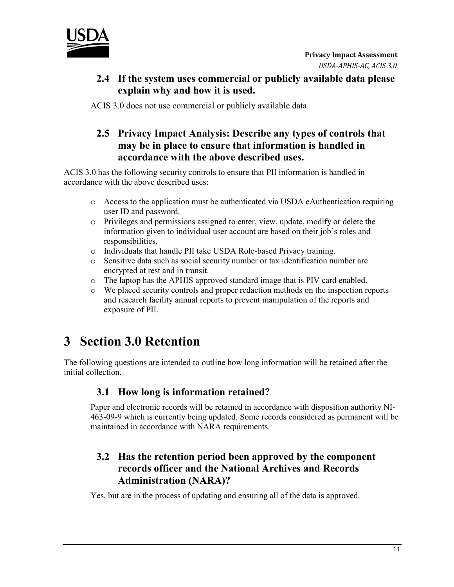

#### **2.4 If the system uses commercial or publicly available data please explain why and how it is used.**

ACIS 3.0 does not use commercial or publicly available data.

#### **2.5 Privacy Impact Analysis: Describe any types of controls that may be in place to ensure that information is handled in accordance with the above described uses.**

ACIS 3.0 has the following security controls to ensure that PII information is handled in accordance with the above described uses:

- $\circ$  Access to the application must be authenticated via USDA eAuthentication requiring user ID and password.
- o Privileges and permissions assigned to enter, view, update, modify or delete the information given to individual user account are based on their job's roles and responsibilities.
- o Individuals that handle PII take USDA Role-based Privacy training.
- o Sensitive data such as social security number or tax identification number are encrypted at rest and in transit.
- o The laptop has the APHIS approved standard image that is PIV card enabled.
- o We placed security controls and proper redaction methods on the inspection reports and research facility annual reports to prevent manipulation of the reports and exposure of PII.

# **3 Section 3.0 Retention**

The following questions are intended to outline how long information will be retained after the initial collection.

#### **3.1 How long is information retained?**

Paper and electronic records will be retained in accordance with disposition authority NI-463-09-9 which is currently being updated. Some records considered as permanent will be maintained in accordance with NARA requirements.

#### **3.2 Has the retention period been approved by the component records officer and the National Archives and Records Administration (NARA)?**

Yes, but are in the process of updating and ensuring all of the data is approved.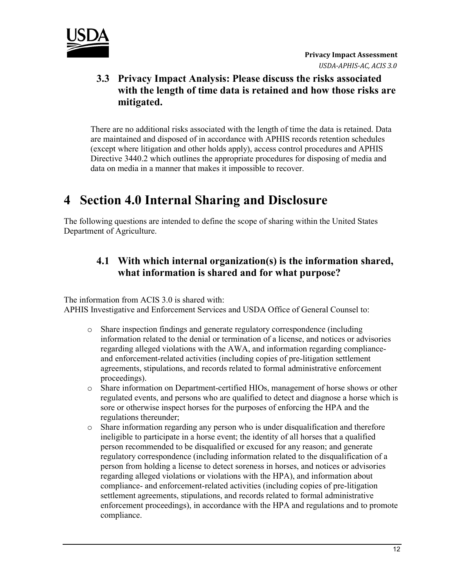

#### **3.3 Privacy Impact Analysis: Please discuss the risks associated with the length of time data is retained and how those risks are mitigated.**

There are no additional risks associated with the length of time the data is retained. Data are maintained and disposed of in accordance with APHIS records retention schedules (except where litigation and other holds apply), access control procedures and APHIS Directive 3440.2 which outlines the appropriate procedures for disposing of media and data on media in a manner that makes it impossible to recover.

## **4 Section 4.0 Internal Sharing and Disclosure**

The following questions are intended to define the scope of sharing within the United States Department of Agriculture.

#### **4.1 With which internal organization(s) is the information shared, what information is shared and for what purpose?**

The information from ACIS 3.0 is shared with: APHIS Investigative and Enforcement Services and USDA Office of General Counsel to:

- o Share inspection findings and generate regulatory correspondence (including information related to the denial or termination of a license, and notices or advisories regarding alleged violations with the AWA, and information regarding complianceand enforcement-related activities (including copies of pre-litigation settlement agreements, stipulations, and records related to formal administrative enforcement proceedings).
- o Share information on Department-certified HIOs, management of horse shows or other regulated events, and persons who are qualified to detect and diagnose a horse which is sore or otherwise inspect horses for the purposes of enforcing the HPA and the regulations thereunder;
- o Share information regarding any person who is under disqualification and therefore ineligible to participate in a horse event; the identity of all horses that a qualified person recommended to be disqualified or excused for any reason; and generate regulatory correspondence (including information related to the disqualification of a person from holding a license to detect soreness in horses, and notices or advisories regarding alleged violations or violations with the HPA), and information about compliance- and enforcement-related activities (including copies of pre-litigation settlement agreements, stipulations, and records related to formal administrative enforcement proceedings), in accordance with the HPA and regulations and to promote compliance.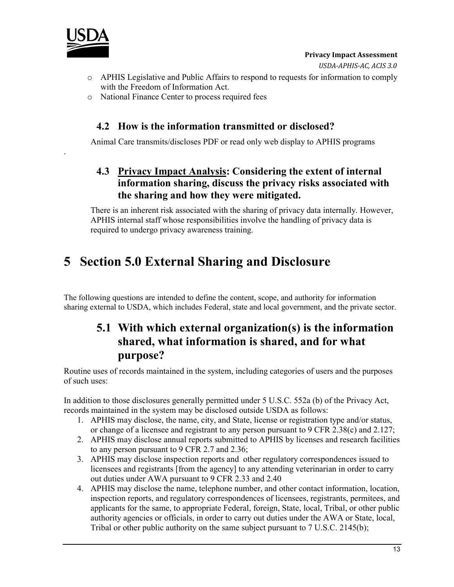

.

- o APHIS Legislative and Public Affairs to respond to requests for information to comply with the Freedom of Information Act.
- o National Finance Center to process required fees

#### **4.2 How is the information transmitted or disclosed?**

Animal Care transmits/discloses PDF or read only web display to APHIS programs

#### **4.3 Privacy Impact Analysis: Considering the extent of internal information sharing, discuss the privacy risks associated with the sharing and how they were mitigated.**

There is an inherent risk associated with the sharing of privacy data internally. However, APHIS internal staff whose responsibilities involve the handling of privacy data is required to undergo privacy awareness training.

# **5 Section 5.0 External Sharing and Disclosure**

The following questions are intended to define the content, scope, and authority for information sharing external to USDA, which includes Federal, state and local government, and the private sector.

### **5.1 With which external organization(s) is the information shared, what information is shared, and for what purpose?**

Routine uses of records maintained in the system, including categories of users and the purposes of such uses:

In addition to those disclosures generally permitted under 5 U.S.C. 552a (b) of the Privacy Act, records maintained in the system may be disclosed outside USDA as follows:

- 1. APHIS may disclose, the name, city, and State, license or registration type and/or status, or change of a licensee and registrant to any person pursuant to 9 CFR 2.38(c) and 2.127;
- 2. APHIS may disclose annual reports submitted to APHIS by licenses and research facilities to any person pursuant to 9 CFR 2.7 and 2.36;
- 3. APHIS may disclose inspection reports and other regulatory correspondences issued to licensees and registrants [from the agency] to any attending veterinarian in order to carry out duties under AWA pursuant to 9 CFR 2.33 and 2.40
- 4. APHIS may disclose the name, telephone number, and other contact information, location, inspection reports, and regulatory correspondences of licensees, registrants, permitees, and applicants for the same, to appropriate Federal, foreign, State, local, Tribal, or other public authority agencies or officials, in order to carry out duties under the AWA or State, local, Tribal or other public authority on the same subject pursuant to 7 U.S.C. 2145(b);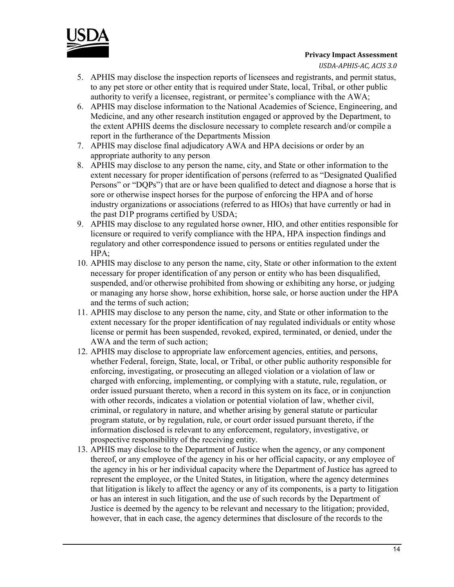

*USDA-APHIS-AC, ACIS 3.0*

- 5. APHIS may disclose the inspection reports of licensees and registrants, and permit status, to any pet store or other entity that is required under State, local, Tribal, or other public authority to verify a licensee, registrant, or permitee's compliance with the AWA;
- 6. APHIS may disclose information to the National Academies of Science, Engineering, and Medicine, and any other research institution engaged or approved by the Department, to the extent APHIS deems the disclosure necessary to complete research and/or compile a report in the furtherance of the Departments Mission
- 7. APHIS may disclose final adjudicatory AWA and HPA decisions or order by an appropriate authority to any person
- 8. APHIS may disclose to any person the name, city, and State or other information to the extent necessary for proper identification of persons (referred to as "Designated Qualified Persons" or "DQPs") that are or have been qualified to detect and diagnose a horse that is sore or otherwise inspect horses for the purpose of enforcing the HPA and of horse industry organizations or associations (referred to as HIOs) that have currently or had in the past D1P programs certified by USDA;
- 9. APHIS may disclose to any regulated horse owner, HIO, and other entities responsible for licensure or required to verify compliance with the HPA, HPA inspection findings and regulatory and other correspondence issued to persons or entities regulated under the HPA;
- 10. APHIS may disclose to any person the name, city, State or other information to the extent necessary for proper identification of any person or entity who has been disqualified, suspended, and/or otherwise prohibited from showing or exhibiting any horse, or judging or managing any horse show, horse exhibition, horse sale, or horse auction under the HPA and the terms of such action;
- 11. APHIS may disclose to any person the name, city, and State or other information to the extent necessary for the proper identification of nay regulated individuals or entity whose license or permit has been suspended, revoked, expired, terminated, or denied, under the AWA and the term of such action;
- 12. APHIS may disclose to appropriate law enforcement agencies, entities, and persons, whether Federal, foreign, State, local, or Tribal, or other public authority responsible for enforcing, investigating, or prosecuting an alleged violation or a violation of law or charged with enforcing, implementing, or complying with a statute, rule, regulation, or order issued pursuant thereto, when a record in this system on its face, or in conjunction with other records, indicates a violation or potential violation of law, whether civil, criminal, or regulatory in nature, and whether arising by general statute or particular program statute, or by regulation, rule, or court order issued pursuant thereto, if the information disclosed is relevant to any enforcement, regulatory, investigative, or prospective responsibility of the receiving entity.
- 13. APHIS may disclose to the Department of Justice when the agency, or any component thereof, or any employee of the agency in his or her official capacity, or any employee of the agency in his or her individual capacity where the Department of Justice has agreed to represent the employee, or the United States, in litigation, where the agency determines that litigation is likely to affect the agency or any of its components, is a party to litigation or has an interest in such litigation, and the use of such records by the Department of Justice is deemed by the agency to be relevant and necessary to the litigation; provided, however, that in each case, the agency determines that disclosure of the records to the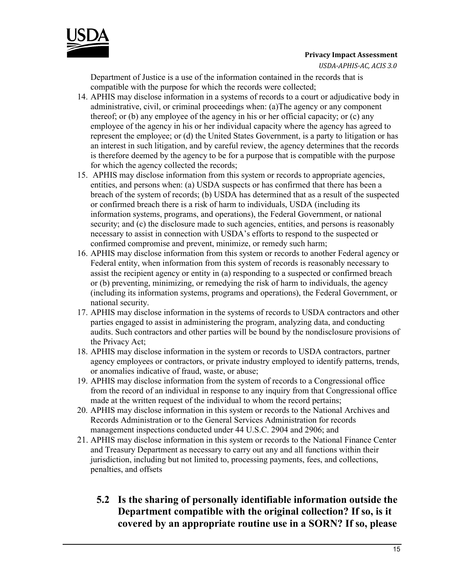

*USDA-APHIS-AC, ACIS 3.0*

Department of Justice is a use of the information contained in the records that is compatible with the purpose for which the records were collected;

- 14. APHIS may disclose information in a systems of records to a court or adjudicative body in administrative, civil, or criminal proceedings when: (a)The agency or any component thereof; or (b) any employee of the agency in his or her official capacity; or (c) any employee of the agency in his or her individual capacity where the agency has agreed to represent the employee; or (d) the United States Government, is a party to litigation or has an interest in such litigation, and by careful review, the agency determines that the records is therefore deemed by the agency to be for a purpose that is compatible with the purpose for which the agency collected the records;
- 15. APHIS may disclose information from this system or records to appropriate agencies, entities, and persons when: (a) USDA suspects or has confirmed that there has been a breach of the system of records; (b) USDA has determined that as a result of the suspected or confirmed breach there is a risk of harm to individuals, USDA (including its information systems, programs, and operations), the Federal Government, or national security; and (c) the disclosure made to such agencies, entities, and persons is reasonably necessary to assist in connection with USDA's efforts to respond to the suspected or confirmed compromise and prevent, minimize, or remedy such harm;
- 16. APHIS may disclose information from this system or records to another Federal agency or Federal entity, when information from this system of records is reasonably necessary to assist the recipient agency or entity in (a) responding to a suspected or confirmed breach or (b) preventing, minimizing, or remedying the risk of harm to individuals, the agency (including its information systems, programs and operations), the Federal Government, or national security.
- 17. APHIS may disclose information in the systems of records to USDA contractors and other parties engaged to assist in administering the program, analyzing data, and conducting audits. Such contractors and other parties will be bound by the nondisclosure provisions of the Privacy Act;
- 18. APHIS may disclose information in the system or records to USDA contractors, partner agency employees or contractors, or private industry employed to identify patterns, trends, or anomalies indicative of fraud, waste, or abuse;
- 19. APHIS may disclose information from the system of records to a Congressional office from the record of an individual in response to any inquiry from that Congressional office made at the written request of the individual to whom the record pertains;
- 20. APHIS may disclose information in this system or records to the National Archives and Records Administration or to the General Services Administration for records management inspections conducted under 44 U.S.C. 2904 and 2906; and
- 21. APHIS may disclose information in this system or records to the National Finance Center and Treasury Department as necessary to carry out any and all functions within their jurisdiction, including but not limited to, processing payments, fees, and collections, penalties, and offsets

#### **5.2 Is the sharing of personally identifiable information outside the Department compatible with the original collection? If so, is it covered by an appropriate routine use in a SORN? If so, please**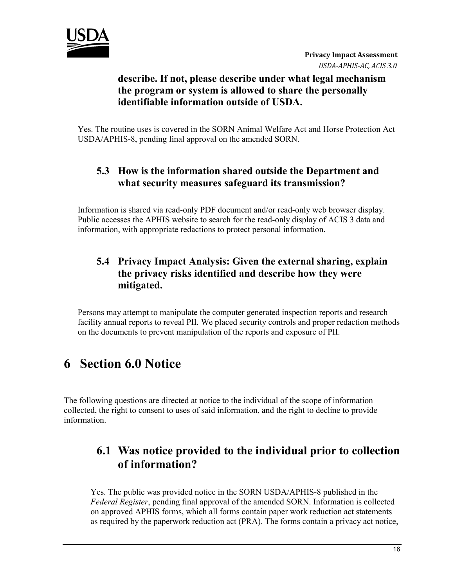

#### **describe. If not, please describe under what legal mechanism the program or system is allowed to share the personally identifiable information outside of USDA.**

Yes. The routine uses is covered in the SORN Animal Welfare Act and Horse Protection Act USDA/APHIS-8, pending final approval on the amended SORN.

#### **5.3 How is the information shared outside the Department and what security measures safeguard its transmission?**

Information is shared via read-only PDF document and/or read-only web browser display. Public accesses the APHIS website to search for the read-only display of ACIS 3 data and information, with appropriate redactions to protect personal information.

#### **5.4 Privacy Impact Analysis: Given the external sharing, explain the privacy risks identified and describe how they were mitigated.**

Persons may attempt to manipulate the computer generated inspection reports and research facility annual reports to reveal PII. We placed security controls and proper redaction methods on the documents to prevent manipulation of the reports and exposure of PII.

# **6 Section 6.0 Notice**

The following questions are directed at notice to the individual of the scope of information collected, the right to consent to uses of said information, and the right to decline to provide information.

#### **6.1 Was notice provided to the individual prior to collection of information?**

Yes. The public was provided notice in the SORN USDA/APHIS-8 published in the *Federal Register*, pending final approval of the amended SORN. Information is collected on approved APHIS forms, which all forms contain paper work reduction act statements as required by the paperwork reduction act (PRA). The forms contain a privacy act notice,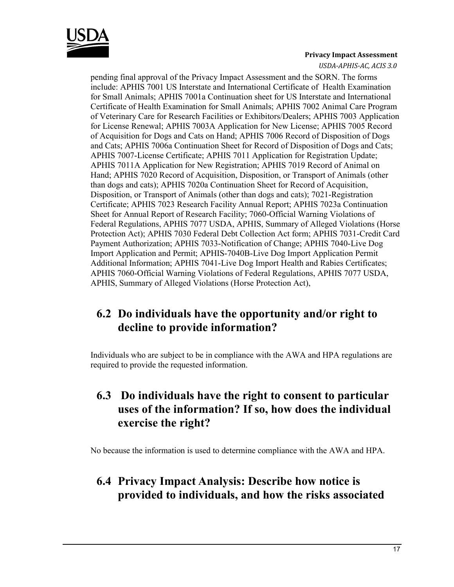

*USDA-APHIS-AC, ACIS 3.0*

pending final approval of the Privacy Impact Assessment and the SORN. The forms include: APHIS 7001 US Interstate and International Certificate of Health Examination for Small Animals; APHIS 7001a Continuation sheet for US Interstate and International Certificate of Health Examination for Small Animals; APHIS 7002 Animal Care Program of Veterinary Care for Research Facilities or Exhibitors/Dealers; APHIS 7003 Application for License Renewal; APHIS 7003A Application for New License; APHIS 7005 Record of Acquisition for Dogs and Cats on Hand; APHIS 7006 Record of Disposition of Dogs and Cats; APHIS 7006a Continuation Sheet for Record of Disposition of Dogs and Cats; APHIS 7007-License Certificate; APHIS 7011 Application for Registration Update; APHIS 7011A Application for New Registration; APHIS 7019 Record of Animal on Hand; APHIS 7020 Record of Acquisition, Disposition, or Transport of Animals (other than dogs and cats); APHIS 7020a Continuation Sheet for Record of Acquisition, Disposition, or Transport of Animals (other than dogs and cats); 7021-Registration Certificate; APHIS 7023 Research Facility Annual Report; APHIS 7023a Continuation Sheet for Annual Report of Research Facility; 7060-Official Warning Violations of Federal Regulations, APHIS 7077 USDA, APHIS, Summary of Alleged Violations (Horse Protection Act); APHIS 7030 Federal Debt Collection Act form; APHIS 7031-Credit Card Payment Authorization; APHIS 7033-Notification of Change; APHIS 7040-Live Dog Import Application and Permit; APHIS-7040B-Live Dog Import Application Permit Additional Information; APHIS 7041-Live Dog Import Health and Rabies Certificates; APHIS 7060-Official Warning Violations of Federal Regulations, APHIS 7077 USDA, APHIS, Summary of Alleged Violations (Horse Protection Act),

### **6.2 Do individuals have the opportunity and/or right to decline to provide information?**

Individuals who are subject to be in compliance with the AWA and HPA regulations are required to provide the requested information.

### **6.3 Do individuals have the right to consent to particular uses of the information? If so, how does the individual exercise the right?**

No because the information is used to determine compliance with the AWA and HPA.

#### **6.4 Privacy Impact Analysis: Describe how notice is provided to individuals, and how the risks associated**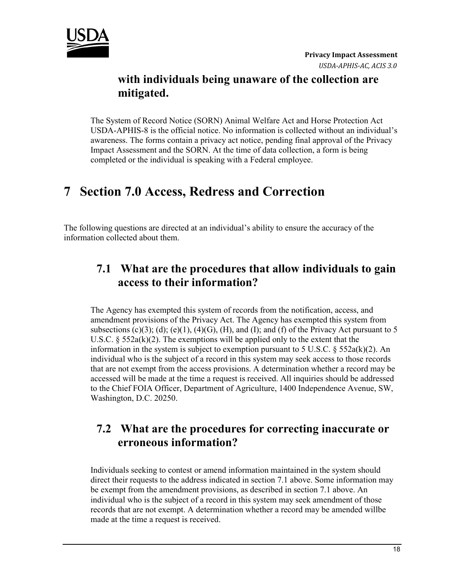

#### **with individuals being unaware of the collection are mitigated.**

The System of Record Notice (SORN) Animal Welfare Act and Horse Protection Act USDA-APHIS-8 is the official notice. No information is collected without an individual's awareness. The forms contain a privacy act notice, pending final approval of the Privacy Impact Assessment and the SORN. At the time of data collection, a form is being completed or the individual is speaking with a Federal employee.

# **7 Section 7.0 Access, Redress and Correction**

The following questions are directed at an individual's ability to ensure the accuracy of the information collected about them.

### **7.1 What are the procedures that allow individuals to gain access to their information?**

The Agency has exempted this system of records from the notification, access, and amendment provisions of the Privacy Act. The Agency has exempted this system from subsections  $(c)(3)$ ; (d);  $(e)(1)$ ,  $(4)(G)$ ,  $(H)$ , and  $(I)$ ; and  $(f)$  of the Privacy Act pursuant to 5 U.S.C. §  $552a(k)(2)$ . The exemptions will be applied only to the extent that the information in the system is subject to exemption pursuant to 5 U.S.C.  $\S$  552a(k)(2). An individual who is the subject of a record in this system may seek access to those records that are not exempt from the access provisions. A determination whether a record may be accessed will be made at the time a request is received. All inquiries should be addressed to the Chief FOIA Officer, Department of Agriculture, 1400 Independence Avenue, SW, Washington, D.C. 20250.

#### **7.2 What are the procedures for correcting inaccurate or erroneous information?**

Individuals seeking to contest or amend information maintained in the system should direct their requests to the address indicated in section 7.1 above. Some information may be exempt from the amendment provisions, as described in section 7.1 above. An individual who is the subject of a record in this system may seek amendment of those records that are not exempt. A determination whether a record may be amended willbe made at the time a request is received.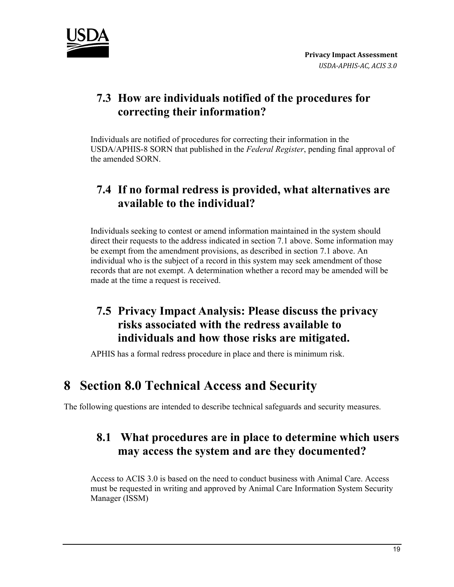

### **7.3 How are individuals notified of the procedures for correcting their information?**

Individuals are notified of procedures for correcting their information in the USDA/APHIS-8 SORN that published in the *Federal Register*, pending final approval of the amended SORN.

### **7.4 If no formal redress is provided, what alternatives are available to the individual?**

Individuals seeking to contest or amend information maintained in the system should direct their requests to the address indicated in section 7.1 above. Some information may be exempt from the amendment provisions, as described in section 7.1 above. An individual who is the subject of a record in this system may seek amendment of those records that are not exempt. A determination whether a record may be amended will be made at the time a request is received.

### **7.5 Privacy Impact Analysis: Please discuss the privacy risks associated with the redress available to individuals and how those risks are mitigated.**

APHIS has a formal redress procedure in place and there is minimum risk.

### **8 Section 8.0 Technical Access and Security**

The following questions are intended to describe technical safeguards and security measures.

#### **8.1 What procedures are in place to determine which users may access the system and are they documented?**

Access to ACIS 3.0 is based on the need to conduct business with Animal Care. Access must be requested in writing and approved by Animal Care Information System Security Manager (ISSM)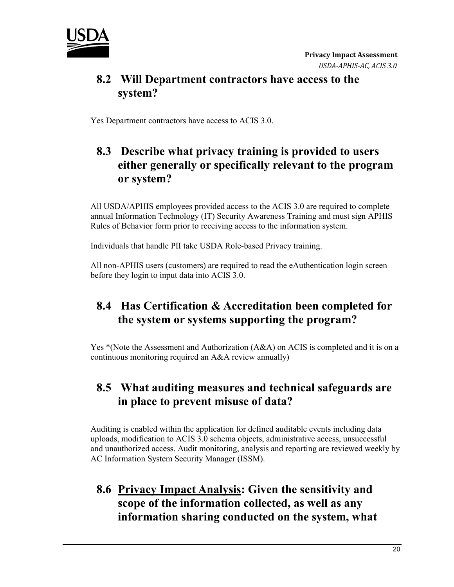

#### **8.2 Will Department contractors have access to the system?**

Yes Department contractors have access to ACIS 3.0.

### **8.3 Describe what privacy training is provided to users either generally or specifically relevant to the program or system?**

All USDA/APHIS employees provided access to the ACIS 3.0 are required to complete annual Information Technology (IT) Security Awareness Training and must sign APHIS Rules of Behavior form prior to receiving access to the information system.

Individuals that handle PII take USDA Role-based Privacy training.

All non-APHIS users (customers) are required to read the eAuthentication login screen before they login to input data into ACIS 3.0.

### **8.4 Has Certification & Accreditation been completed for the system or systems supporting the program?**

Yes \*(Note the Assessment and Authorization (A&A) on ACIS is completed and it is on a continuous monitoring required an A&A review annually)

### **8.5 What auditing measures and technical safeguards are in place to prevent misuse of data?**

Auditing is enabled within the application for defined auditable events including data uploads, modification to ACIS 3.0 schema objects, administrative access, unsuccessful and unauthorized access. Audit monitoring, analysis and reporting are reviewed weekly by AC Information System Security Manager (ISSM).

### **8.6 Privacy Impact Analysis: Given the sensitivity and scope of the information collected, as well as any information sharing conducted on the system, what**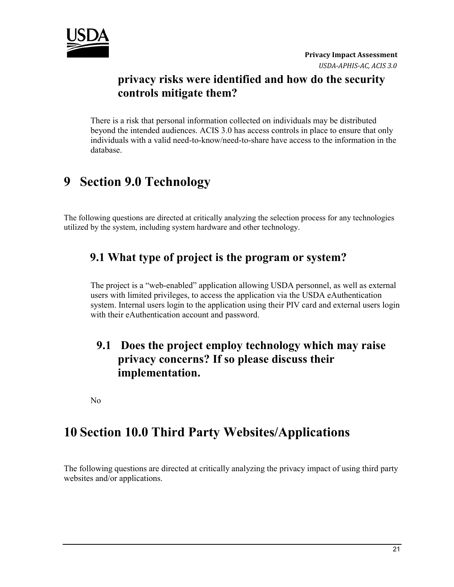

#### **privacy risks were identified and how do the security controls mitigate them?**

There is a risk that personal information collected on individuals may be distributed beyond the intended audiences. ACIS 3.0 has access controls in place to ensure that only individuals with a valid need-to-know/need-to-share have access to the information in the database.

# **9 Section 9.0 Technology**

The following questions are directed at critically analyzing the selection process for any technologies utilized by the system, including system hardware and other technology.

#### **9.1 What type of project is the program or system?**

The project is a "web-enabled" application allowing USDA personnel, as well as external users with limited privileges, to access the application via the USDA eAuthentication system. Internal users login to the application using their PIV card and external users login with their eAuthentication account and password.

#### **9.1 Does the project employ technology which may raise privacy concerns? If so please discuss their implementation.**

No

### **10 Section 10.0 Third Party Websites/Applications**

The following questions are directed at critically analyzing the privacy impact of using third party websites and/or applications.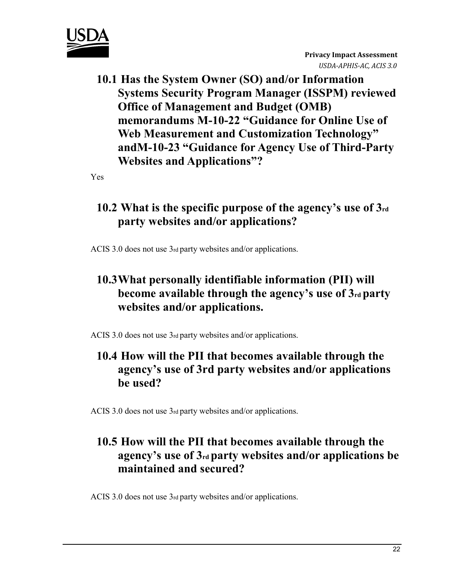

**10.1 Has the System Owner (SO) and/or Information Systems Security Program Manager (ISSPM) reviewed Office of Management and Budget (OMB) memorandums M-10-22 "Guidance for Online Use of Web Measurement and Customization Technology" andM-10-23 "Guidance for Agency Use of Third-Party Websites and Applications"?** 

Yes

### **10.2 What is the specific purpose of the agency's use of 3rd party websites and/or applications?**

ACIS 3.0 does not use 3rd party websites and/or applications.

### **10.3What personally identifiable information (PII) will become available through the agency's use of 3rd party websites and/or applications.**

ACIS 3.0 does not use 3rd party websites and/or applications.

### **10.4 How will the PII that becomes available through the agency's use of 3rd party websites and/or applications be used?**

ACIS 3.0 does not use 3rd party websites and/or applications.

### **10.5 How will the PII that becomes available through the agency's use of 3rd party websites and/or applications be maintained and secured?**

ACIS 3.0 does not use 3rd party websites and/or applications.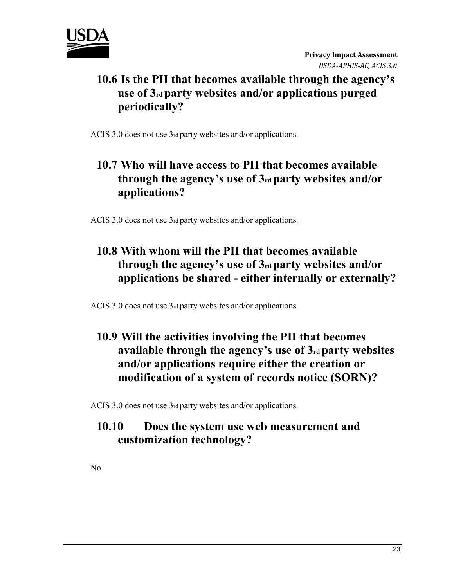

### **10.6 Is the PII that becomes available through the agency's use of 3rd party websites and/or applications purged periodically?**

ACIS 3.0 does not use 3rd party websites and/or applications.

### **10.7 Who will have access to PII that becomes available through the agency's use of 3rd party websites and/or applications?**

ACIS 3.0 does not use 3rd party websites and/or applications.

### **10.8 With whom will the PII that becomes available through the agency's use of 3rd party websites and/or applications be shared - either internally or externally?**

ACIS 3.0 does not use 3rd party websites and/or applications.

### **10.9 Will the activities involving the PII that becomes available through the agency's use of 3rd party websites and/or applications require either the creation or modification of a system of records notice (SORN)?**

ACIS 3.0 does not use 3rd party websites and/or applications.

#### **10.10 Does the system use web measurement and customization technology?**

No